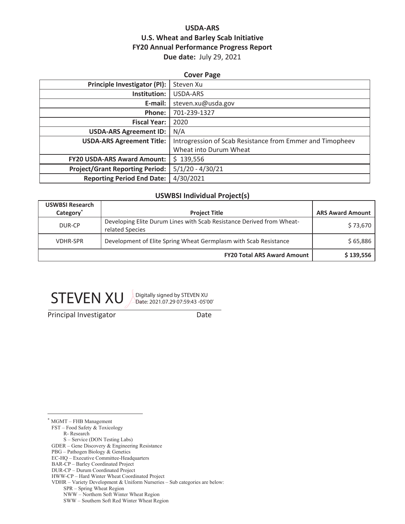## **USDA-ARS U.S. Wheat and Barley Scab Initiative FY20 Annual Performance Progress Report Due date:** July 29, 2021

## **Cover Page Principle Investigator (PI):** Steven Xu **Institution:** USDA-ARS **E-mail:** steven.xu@usda.gov **Phone:** 701-239-1327 **Fiscal Year:** 2020 **USDA-ARS Agreement ID:** N/A **USDA-ARS Agreement Title:** Introgression of Scab Resistance from Emmer and Timopheev Wheat into Durum Wheat **FY20 USDA-ARS Award Amount:**  $\frac{1}{5}$  139,556 **Project/Grant Reporting Period:** 5/1/20 - 4/30/21 **Reporting Period End Date:** 4/30/2021

#### **USWBSI Individual Project(s)**

| <b>USWBSI Research</b><br>Category <sup>*</sup> | <b>Project Title</b>                                                                     | <b>ARS Award Amount</b> |
|-------------------------------------------------|------------------------------------------------------------------------------------------|-------------------------|
| DUR-CP                                          | Developing Elite Durum Lines with Scab Resistance Derived from Wheat-<br>related Species | \$73,670                |
| <b>VDHR-SPR</b>                                 | Development of Elite Spring Wheat Germplasm with Scab Resistance                         | \$65,886                |
|                                                 | <b>FY20 Total ARS Award Amount</b>                                                       | \$139,556               |



Date: 2021.07.29 07:59:43 -05'00'

**Principal Investigator** Date

\* MGMT – FHB Management

FST – Food Safety & Toxicology

R- Research

S – Service (DON Testing Labs)

GDER – Gene Discovery & Engineering Resistance

PBG – Pathogen Biology & Genetics

EC-HQ – Executive Committee-Headquarters

BAR-CP – Barley Coordinated Project DUR-CP – Durum Coordinated Project

HWW-CP – Hard Winter Wheat Coordinated Project

VDHR – Variety Development & Uniform Nurseries – Sub categories are below:

SPR – Spring Wheat Region

 NWW – Northern Soft Winter Wheat Region SWW – Southern Soft Red Winter Wheat Region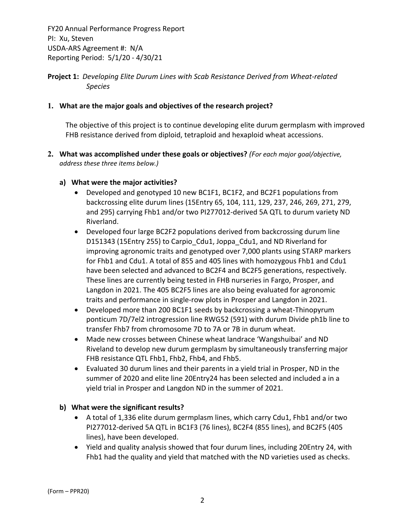## **Project 1:** *Developing Elite Durum Lines with Scab Resistance Derived from Wheat‐related Species*

## **1. What are the major goals and objectives of the research project?**

The objective of this project is to continue developing elite durum germplasm with improved FHB resistance derived from diploid, tetraploid and hexaploid wheat accessions.

**2. What was accomplished under these goals or objectives?** *(For each major goal/objective, address these three items below.)*

## **a) What were the major activities?**

- Developed and genotyped 10 new BC1F1, BC1F2, and BC2F1 populations from backcrossing elite durum lines (15Entry 65, 104, 111, 129, 237, 246, 269, 271, 279, and 295) carrying Fhb1 and/or two PI277012‐derived 5A QTL to durum variety ND Riverland.
- Developed four large BC2F2 populations derived from backcrossing durum line D151343 (15Entry 255) to Carpio\_Cdu1, Joppa\_Cdu1, and ND Riverland for improving agronomic traits and genotyped over 7,000 plants using STARP markers for Fhb1 and Cdu1. A total of 855 and 405 lines with homozygous Fhb1 and Cdu1 have been selected and advanced to BC2F4 and BC2F5 generations, respectively. These lines are currently being tested in FHB nurseries in Fargo, Prosper, and Langdon in 2021. The 405 BC2F5 lines are also being evaluated for agronomic traits and performance in single‐row plots in Prosper and Langdon in 2021.
- Developed more than 200 BC1F1 seeds by backcrossing a wheat‐Thinopyrum ponticum 7D/7el2 introgression line RWG52 (591) with durum Divide ph1b line to transfer Fhb7 from chromosome 7D to 7A or 7B in durum wheat.
- Made new crosses between Chinese wheat landrace 'Wangshuibai' and ND Riveland to develop new durum germplasm by simultaneously transferring major FHB resistance QTL Fhb1, Fhb2, Fhb4, and Fhb5.
- Evaluated 30 durum lines and their parents in a yield trial in Prosper, ND in the summer of 2020 and elite line 20Entry24 has been selected and included a in a yield trial in Prosper and Langdon ND in the summer of 2021.

## **b) What were the significant results?**

- A total of 1,336 elite durum germplasm lines, which carry Cdu1, Fhb1 and/or two PI277012‐derived 5A QTL in BC1F3 (76 lines), BC2F4 (855 lines), and BC2F5 (405 lines), have been developed.
- Yield and quality analysis showed that four durum lines, including 20Entry 24, with Fhb1 had the quality and yield that matched with the ND varieties used as checks.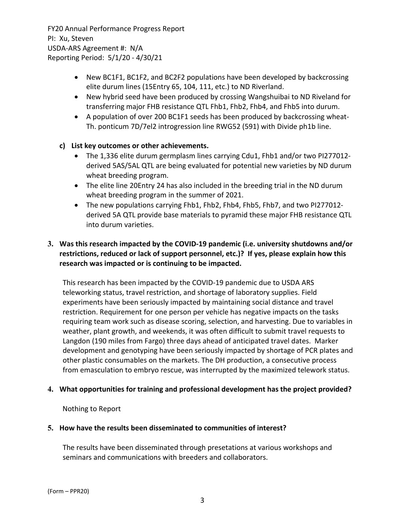- New BC1F1, BC1F2, and BC2F2 populations have been developed by backcrossing elite durum lines (15Entry 65, 104, 111, etc.) to ND Riverland.
- New hybrid seed have been produced by crossing Wangshuibai to ND Riveland for transferring major FHB resistance QTL Fhb1, Fhb2, Fhb4, and Fhb5 into durum.
- A population of over 200 BC1F1 seeds has been produced by backcrossing wheat-Th. ponticum 7D/7el2 introgression line RWG52 (591) with Divide ph1b line.

## **c) List key outcomes or other achievements.**

- The 1,336 elite durum germplasm lines carrying Cdu1, Fhb1 and/or two PI277012derived 5AS/5AL QTL are being evaluated for potential new varieties by ND durum wheat breeding program.
- The elite line 20Entry 24 has also included in the breeding trial in the ND durum wheat breeding program in the summer of 2021.
- The new populations carrying Fhb1, Fhb2, Fhb4, Fhb5, Fhb7, and two PI277012derived 5A QTL provide base materials to pyramid these major FHB resistance QTL into durum varieties.

## **3. Was this research impacted by the COVID‐19 pandemic (i.e. university shutdowns and/or restrictions, reduced or lack of support personnel, etc.)? If yes, please explain how this research was impacted or is continuing to be impacted.**

This research has been impacted by the COVID‐19 pandemic due to USDA ARS teleworking status, travel restriction, and shortage of laboratory supplies. Field experiments have been seriously impacted by maintaining social distance and travel restriction. Requirement for one person per vehicle has negative impacts on the tasks requiring team work such as disease scoring, selection, and harvesting. Due to variables in weather, plant growth, and weekends, it was often difficult to submit travel requests to Langdon (190 miles from Fargo) three days ahead of anticipated travel dates. Marker development and genotyping have been seriously impacted by shortage of PCR plates and other plastic consumables on the markets. The DH production, a consecutive process from emasculation to embryo rescue, was interrupted by the maximized telework status.

## **4. What opportunities for training and professional development has the project provided?**

## Nothing to Report

## **5. How have the results been disseminated to communities of interest?**

The results have been disseminated through presetations at various workshops and seminars and communications with breeders and collaborators.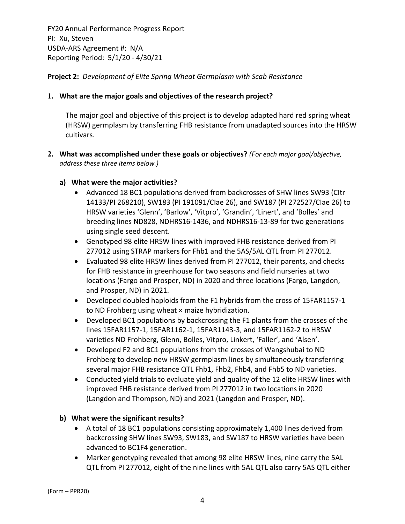**Project 2:** *Development of Elite Spring Wheat Germplasm with Scab Resistance*

## **1. What are the major goals and objectives of the research project?**

The major goal and objective of this project is to develop adapted hard red spring wheat (HRSW) germplasm by transferring FHB resistance from unadapted sources into the HRSW cultivars.

- **2. What was accomplished under these goals or objectives?** *(For each major goal/objective, address these three items below.)*
	- **a) What were the major activities?**
		- Advanced 18 BC1 populations derived from backcrosses of SHW lines SW93 (CItr 14133/PI 268210), SW183 (PI 191091/CIae 26), and SW187 (PI 272527/CIae 26) to HRSW varieties 'Glenn', 'Barlow', 'Vitpro', 'Grandin', 'Linert', and 'Bolles' and breeding lines ND828, NDHRS16‐1436, and NDHRS16‐13‐89 for two generations using single seed descent.
		- Genotyped 98 elite HRSW lines with improved FHB resistance derived from PI 277012 using STRAP markers for Fhb1 and the 5AS/5AL QTL from PI 277012.
		- Evaluated 98 elite HRSW lines derived from PI 277012, their parents, and checks for FHB resistance in greenhouse for two seasons and field nurseries at two locations (Fargo and Prosper, ND) in 2020 and three locations (Fargo, Langdon, and Prosper, ND) in 2021.
		- Developed doubled haploids from the F1 hybrids from the cross of 15FAR1157‐1 to ND Frohberg using wheat × maize hybridization.
		- Developed BC1 populations by backcrossing the F1 plants from the crosses of the lines 15FAR1157‐1, 15FAR1162‐1, 15FAR1143‐3, and 15FAR1162‐2 to HRSW varieties ND Frohberg, Glenn, Bolles, Vitpro, Linkert, 'Faller', and 'Alsen'.
		- Developed F2 and BC1 populations from the crosses of Wangshubai to ND Frohberg to develop new HRSW germplasm lines by simultaneously transferring several major FHB resistance QTL Fhb1, Fhb2, Fhb4, and Fhb5 to ND varieties.
		- Conducted yield trials to evaluate yield and quality of the 12 elite HRSW lines with improved FHB resistance derived from PI 277012 in two locations in 2020 (Langdon and Thompson, ND) and 2021 (Langdon and Prosper, ND).

## **b) What were the significant results?**

- A total of 18 BC1 populations consisting approximately 1,400 lines derived from backcrossing SHW lines SW93, SW183, and SW187 to HRSW varieties have been advanced to BC1F4 generation.
- Marker genotyping revealed that among 98 elite HRSW lines, nine carry the 5AL QTL from PI 277012, eight of the nine lines with 5AL QTL also carry 5AS QTL either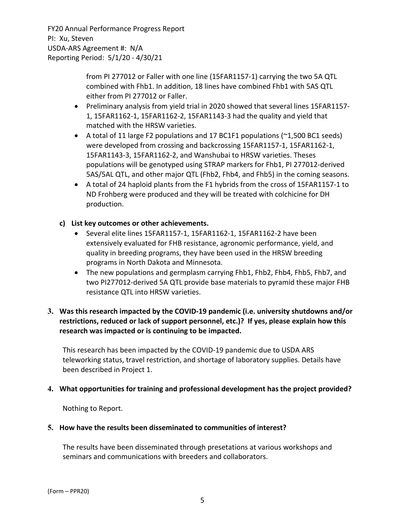> from PI 277012 or Faller with one line (15FAR1157‐1) carrying the two 5A QTL combined with Fhb1. In addition, 18 lines have combined Fhb1 with 5AS QTL either from PI 277012 or Faller.

- Preliminary analysis from yield trial in 2020 showed that several lines 15FAR1157-1, 15FAR1162‐1, 15FAR1162‐2, 15FAR1143‐3 had the quality and yield that matched with the HRSW varieties.
- A total of 11 large F2 populations and 17 BC1F1 populations (~1,500 BC1 seeds) were developed from crossing and backcrossing 15FAR1157‐1, 15FAR1162‐1, 15FAR1143‐3, 15FAR1162‐2, and Wanshubai to HRSW varieties. Theses populations will be genotyped using STRAP markers for Fhb1, PI 277012‐derived 5AS/5AL QTL, and other major QTL (Fhb2, Fhb4, and Fhb5) in the coming seasons.
- A total of 24 haploid plants from the F1 hybrids from the cross of 15FAR1157‐1 to ND Frohberg were produced and they will be treated with colchicine for DH production.

## **c) List key outcomes or other achievements.**

- Several elite lines 15FAR1157‐1, 15FAR1162‐1, 15FAR1162‐2 have been extensively evaluated for FHB resistance, agronomic performance, yield, and quality in breeding programs, they have been used in the HRSW breeding programs in North Dakota and Minnesota.
- The new populations and germplasm carrying Fhb1, Fhb2, Fhb4, Fhb5, Fhb7, and two PI277012‐derived 5A QTL provide base materials to pyramid these major FHB resistance QTL into HRSW varieties.

## **3. Was this research impacted by the COVID‐19 pandemic (i.e. university shutdowns and/or restrictions, reduced or lack of support personnel, etc.)? If yes, please explain how this research was impacted or is continuing to be impacted.**

This research has been impacted by the COVID‐19 pandemic due to USDA ARS teleworking status, travel restriction, and shortage of laboratory supplies. Details have been described in Project 1.

## **4. What opportunities for training and professional development has the project provided?**

Nothing to Report.

## **5. How have the results been disseminated to communities of interest?**

The results have been disseminated through presetations at various workshops and seminars and communications with breeders and collaborators.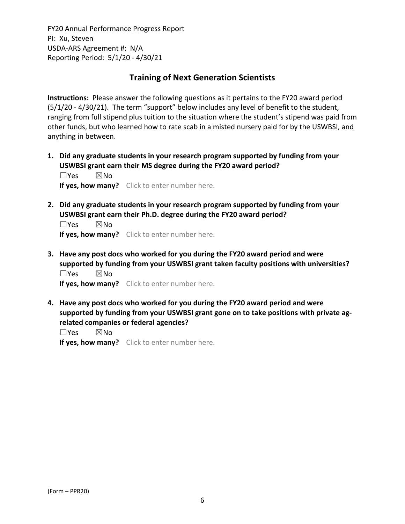## **Training of Next Generation Scientists**

**Instructions:** Please answer the following questions as it pertains to the FY20 award period (5/1/20 ‐ 4/30/21). The term "support" below includes any level of benefit to the student, ranging from full stipend plus tuition to the situation where the student's stipend was paid from other funds, but who learned how to rate scab in a misted nursery paid for by the USWBSI, and anything in between.

**1. Did any graduate students in your research program supported by funding from your USWBSI grant earn their MS degree during the FY20 award period?** ☐Yes ☒No

**If yes, how many?** Click to enter number here.

**2. Did any graduate students in your research program supported by funding from your USWBSI grant earn their Ph.D. degree during the FY20 award period?**

 $\square$ Yes  $\square$ No **If yes, how many?** Click to enter number here.

**3. Have any post docs who worked for you during the FY20 award period and were supported by funding from your USWBSI grant taken faculty positions with universities?** ☐Yes ☒No

**If yes, how many?** Click to enter number here.

**4. Have any post docs who worked for you during the FY20 award period and were supported by funding from your USWBSI grant gone on to take positions with private ag‐ related companies or federal agencies?**

☐Yes ☒No

**If yes, how many?** Click to enter number here.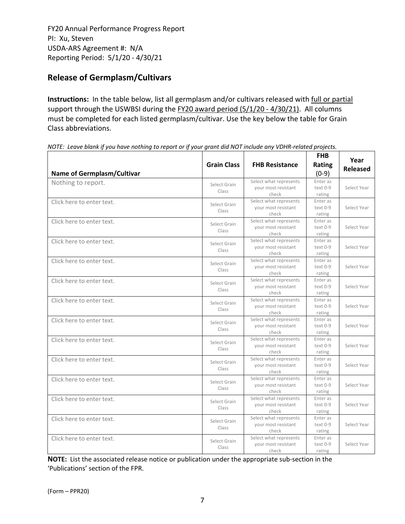# **Release of Germplasm/Cultivars**

**Instructions:** In the table below, list all germplasm and/or cultivars released with full or partial support through the USWBSI during the FY20 award period (5/1/20 - 4/30/21). All columns must be completed for each listed germplasm/cultivar. Use the key below the table for Grain Class abbreviations. 

| <b>Name of Germplasm/Cultivar</b> | <b>Grain Class</b>    | <b>FHB Resistance</b>                                  | <b>FHB</b><br><b>Rating</b><br>$(0-9)$ | Year<br><b>Released</b> |
|-----------------------------------|-----------------------|--------------------------------------------------------|----------------------------------------|-------------------------|
| Nothing to report.                | Select Grain<br>Class | Select what represents<br>your most resistant<br>check | Enter as<br>text 0-9<br>rating         | Select Year             |
| Click here to enter text.         | Select Grain<br>Class | Select what represents<br>your most resistant<br>check | Enter as<br>text 0-9<br>rating         | Select Year             |
| Click here to enter text.         | Select Grain<br>Class | Select what represents<br>your most resistant<br>check | Enter as<br>text 0-9<br>rating         | Select Year             |
| Click here to enter text.         | Select Grain<br>Class | Select what represents<br>your most resistant<br>check | Enter as<br>text 0-9<br>rating         | Select Year             |
| Click here to enter text.         | Select Grain<br>Class | Select what represents<br>your most resistant<br>check | Enter as<br>text 0-9<br>rating         | Select Year             |
| Click here to enter text.         | Select Grain<br>Class | Select what represents<br>your most resistant<br>check | Enter as<br>text 0-9<br>rating         | Select Year             |
| Click here to enter text.         | Select Grain<br>Class | Select what represents<br>your most resistant<br>check | Enter as<br>text 0-9<br>rating         | Select Year             |
| Click here to enter text.         | Select Grain<br>Class | Select what represents<br>your most resistant<br>check | Enter as<br>text 0-9<br>rating         | Select Year             |
| Click here to enter text.         | Select Grain<br>Class | Select what represents<br>your most resistant<br>check | Enter as<br>text 0-9<br>rating         | Select Year             |
| Click here to enter text.         | Select Grain<br>Class | Select what represents<br>your most resistant<br>check | Enter as<br>text 0-9<br>rating         | Select Year             |
| Click here to enter text.         | Select Grain<br>Class | Select what represents<br>your most resistant<br>check | Enter as<br>text 0-9<br>rating         | Select Year             |
| Click here to enter text.         | Select Grain<br>Class | Select what represents<br>your most resistant<br>check | Enter as<br>text 0-9<br>rating         | Select Year             |
| Click here to enter text.         | Select Grain<br>Class | Select what represents<br>your most resistant<br>check | Enter as<br>text 0-9<br>rating         | Select Year             |
| Click here to enter text.         | Select Grain<br>Class | Select what represents<br>your most resistant<br>check | Enter as<br>text 0-9<br>rating         | Select Year             |

NOTE: Leave blank if you have nothing to report or if your grant did NOT include any VDHR-related projects.

**NOTE:** List the associated release notice or publication under the appropriate sub-section in the 'Publications' section of the FPR.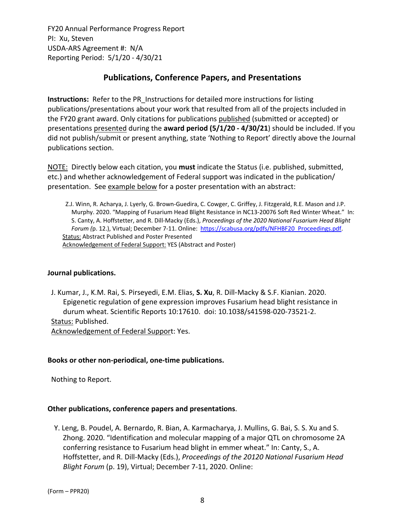# **Publications, Conference Papers, and Presentations**

**Instructions:** Refer to the PR\_Instructions for detailed more instructions for listing publications/presentations about your work that resulted from all of the projects included in the FY20 grant award. Only citations for publications published (submitted or accepted) or presentations presented during the **award period (5/1/20 ‐ 4/30/21**) should be included. If you did not publish/submit or present anything, state 'Nothing to Report' directly above the Journal publications section.

NOTE: Directly below each citation, you **must** indicate the Status (i.e. published, submitted, etc.) and whether acknowledgement of Federal support was indicated in the publication/ presentation. See example below for a poster presentation with an abstract:

Z.J. Winn, R. Acharya, J. Lyerly, G. Brown‐Guedira, C. Cowger, C. Griffey, J. Fitzgerald, R.E. Mason and J.P. Murphy. 2020. "Mapping of Fusarium Head Blight Resistance in NC13‐20076 Soft Red Winter Wheat." In: S. Canty, A. Hoffstetter, and R. Dill‐Macky (Eds.), *Proceedings of the 2020 National Fusarium Head Blight Forum (*p. 12.), Virtual; December 7‐11. Online: https://scabusa.org/pdfs/NFHBF20\_Proceedings.pdf. Status: Abstract Published and Poster Presented Acknowledgement of Federal Support: YES (Abstract and Poster)

#### **Journal publications.**

J. Kumar, J., K.M. Rai, S. Pirseyedi, E.M. Elias, **S. Xu**, R. Dill-Macky & S.F. Kianian. 2020. Epigenetic regulation of gene expression improves Fusarium head blight resistance in durum wheat. Scientific Reports 10:17610. doi: 10.1038/s41598‐020‐73521‐2. Status: Published. Acknowledgement of Federal Support: Yes.

#### **Books or other non‐periodical, one‐time publications.**

Nothing to Report.

## **Other publications, conference papers and presentations**.

Y. Leng, B. Poudel, A. Bernardo, R. Bian, A. Karmacharya, J. Mullins, G. Bai, S. S. Xu and S. Zhong. 2020. "Identification and molecular mapping of a major QTL on chromosome 2A conferring resistance to Fusarium head blight in emmer wheat." In: Canty, S., A. Hoffstetter, and R. Dill‐Macky (Eds.), *Proceedings of the 20120 National Fusarium Head Blight Forum* (p. 19), Virtual; December 7‐11, 2020. Online: